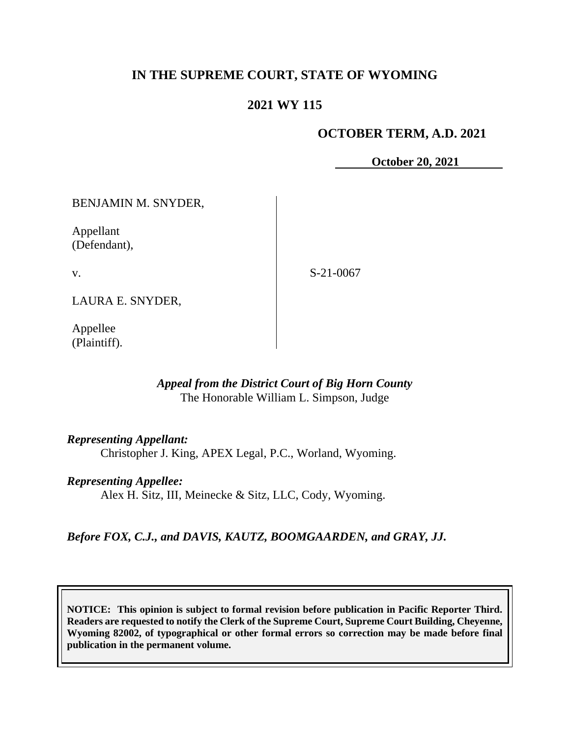# **IN THE SUPREME COURT, STATE OF WYOMING**

# **2021 WY 115**

### **OCTOBER TERM, A.D. 2021**

**October 20, 2021**

BENJAMIN M. SNYDER,

Appellant (Defendant),

v.

S-21-0067

LAURA E. SNYDER,

Appellee (Plaintiff).

### *Appeal from the District Court of Big Horn County* The Honorable William L. Simpson, Judge

### *Representing Appellant:*

Christopher J. King, APEX Legal, P.C., Worland, Wyoming.

### *Representing Appellee:*

Alex H. Sitz, III, Meinecke & Sitz, LLC, Cody, Wyoming.

*Before FOX, C.J., and DAVIS, KAUTZ, BOOMGAARDEN, and GRAY, JJ.*

**NOTICE: This opinion is subject to formal revision before publication in Pacific Reporter Third. Readers are requested to notify the Clerk of the Supreme Court, Supreme Court Building, Cheyenne, Wyoming 82002, of typographical or other formal errors so correction may be made before final publication in the permanent volume.**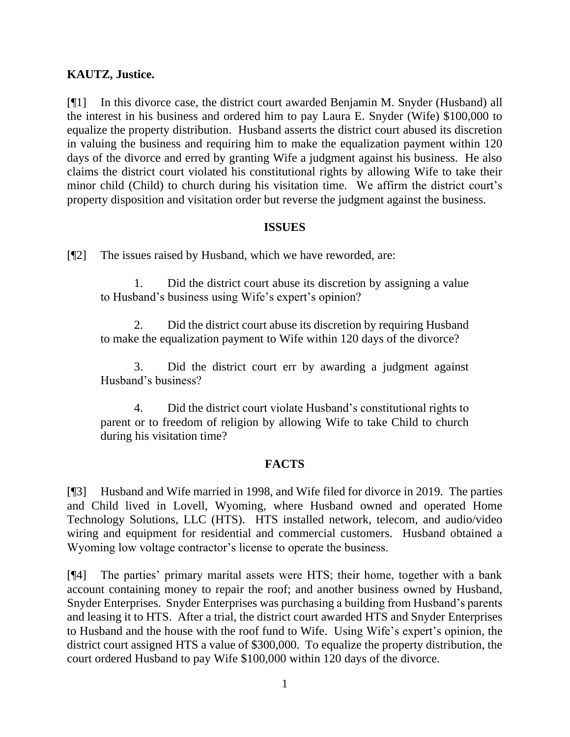### **KAUTZ, Justice.**

[¶1] In this divorce case, the district court awarded Benjamin M. Snyder (Husband) all the interest in his business and ordered him to pay Laura E. Snyder (Wife) \$100,000 to equalize the property distribution. Husband asserts the district court abused its discretion in valuing the business and requiring him to make the equalization payment within 120 days of the divorce and erred by granting Wife a judgment against his business. He also claims the district court violated his constitutional rights by allowing Wife to take their minor child (Child) to church during his visitation time. We affirm the district court's property disposition and visitation order but reverse the judgment against the business.

### **ISSUES**

[¶2] The issues raised by Husband, which we have reworded, are:

1. Did the district court abuse its discretion by assigning a value to Husband's business using Wife's expert's opinion?

2. Did the district court abuse its discretion by requiring Husband to make the equalization payment to Wife within 120 days of the divorce?

3. Did the district court err by awarding a judgment against Husband's business?

4. Did the district court violate Husband's constitutional rights to parent or to freedom of religion by allowing Wife to take Child to church during his visitation time?

## **FACTS**

[¶3] Husband and Wife married in 1998, and Wife filed for divorce in 2019. The parties and Child lived in Lovell, Wyoming, where Husband owned and operated Home Technology Solutions, LLC (HTS). HTS installed network, telecom, and audio/video wiring and equipment for residential and commercial customers. Husband obtained a Wyoming low voltage contractor's license to operate the business.

[¶4] The parties' primary marital assets were HTS; their home, together with a bank account containing money to repair the roof; and another business owned by Husband, Snyder Enterprises. Snyder Enterprises was purchasing a building from Husband's parents and leasing it to HTS. After a trial, the district court awarded HTS and Snyder Enterprises to Husband and the house with the roof fund to Wife. Using Wife's expert's opinion, the district court assigned HTS a value of \$300,000. To equalize the property distribution, the court ordered Husband to pay Wife \$100,000 within 120 days of the divorce.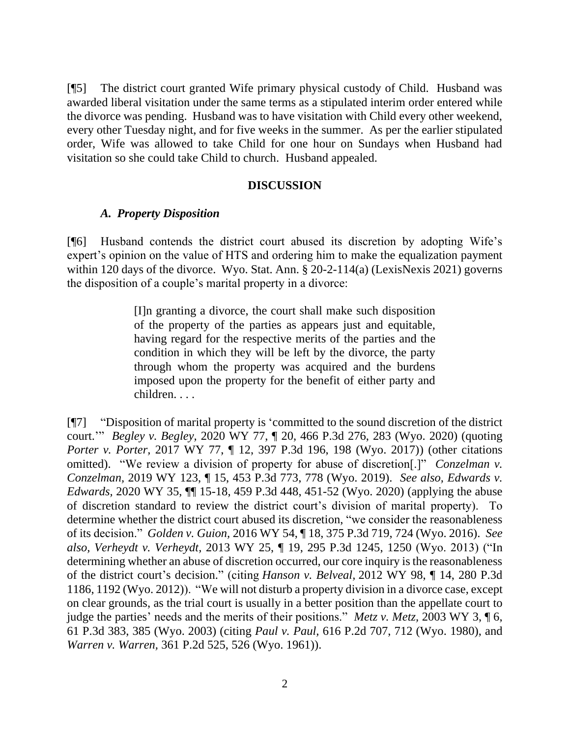[¶5] The district court granted Wife primary physical custody of Child. Husband was awarded liberal visitation under the same terms as a stipulated interim order entered while the divorce was pending. Husband was to have visitation with Child every other weekend, every other Tuesday night, and for five weeks in the summer. As per the earlier stipulated order, Wife was allowed to take Child for one hour on Sundays when Husband had visitation so she could take Child to church. Husband appealed.

#### **DISCUSSION**

#### *A. Property Disposition*

[¶6] Husband contends the district court abused its discretion by adopting Wife's expert's opinion on the value of HTS and ordering him to make the equalization payment within 120 days of the divorce. Wyo. Stat. Ann. § 20-2-114(a) (LexisNexis 2021) governs the disposition of a couple's marital property in a divorce:

> [I]n granting a divorce, the court shall make such disposition of the property of the parties as appears just and equitable, having regard for the respective merits of the parties and the condition in which they will be left by the divorce, the party through whom the property was acquired and the burdens imposed upon the property for the benefit of either party and children. . . .

[¶7] "Disposition of marital property is 'committed to the sound discretion of the district court.'" *Begley v. Begley,* 2020 WY 77, ¶ 20, 466 P.3d 276, 283 (Wyo. 2020) (quoting *Porter v. Porter,* 2017 WY 77, ¶ 12, 397 P.3d 196, 198 (Wyo. 2017)) (other citations omitted). "We review a division of property for abuse of discretion[.]" *Conzelman v. Conzelman,* 2019 WY 123, ¶ 15, 453 P.3d 773, 778 (Wyo. 2019). *See also, Edwards v. Edwards,* 2020 WY 35, ¶¶ 15-18, 459 P.3d 448, 451-52 (Wyo. 2020) (applying the abuse of discretion standard to review the district court's division of marital property). To determine whether the district court abused its discretion, "we consider the reasonableness of its decision." *Golden v. Guion,* 2016 WY 54, ¶ 18, 375 P.3d 719, 724 (Wyo. 2016). *See also, Verheydt v. Verheydt,* 2013 WY 25, ¶ 19, 295 P.3d 1245, 1250 (Wyo. 2013) ("In determining whether an abuse of discretion occurred, our core inquiry is the reasonableness of the district court's decision." (citing *Hanson v. Belveal,* 2012 WY 98, ¶ 14, 280 P.3d 1186, 1192 (Wyo. 2012)). "We will not disturb a property division in a divorce case, except on clear grounds, as the trial court is usually in a better position than the appellate court to judge the parties' needs and the merits of their positions." *Metz v. Metz,* 2003 WY 3, ¶ 6, 61 P.3d 383, 385 (Wyo. 2003) (citing *Paul v. Paul,* 616 P.2d 707, 712 (Wyo. 1980), and *Warren v. Warren,* 361 P.2d 525, 526 (Wyo. 1961)).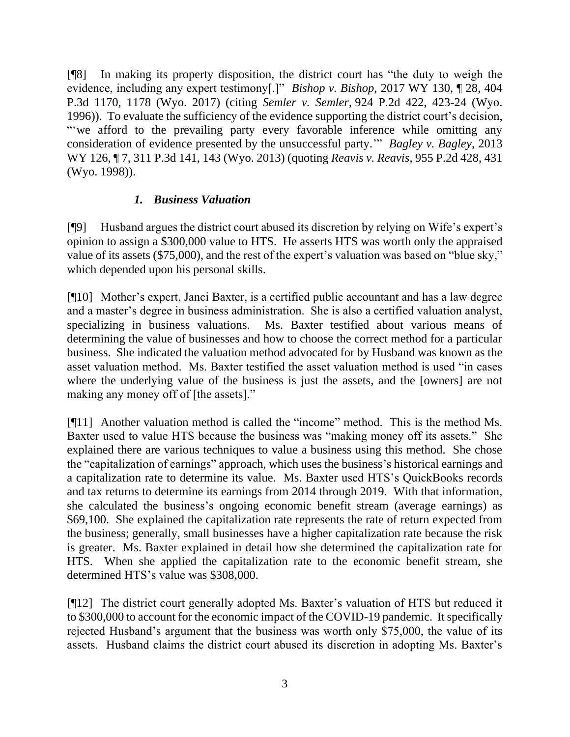[¶8] In making its property disposition, the district court has "the duty to weigh the evidence, including any expert testimony[.]" *Bishop v. Bishop,* 2017 WY 130, ¶ 28, 404 P.3d 1170, 1178 (Wyo. 2017) (citing *Semler v. Semler,* 924 P.2d 422, 423-24 (Wyo. 1996)). To evaluate the sufficiency of the evidence supporting the district court's decision, "'we afford to the prevailing party every favorable inference while omitting any consideration of evidence presented by the unsuccessful party.'" *Bagley v. Bagley,* 2013 WY 126, ¶ 7, 311 P.3d 141, 143 (Wyo. 2013) (quoting *Reavis v. Reavis,* 955 P.2d 428, 431 (Wyo. 1998)).

## *1. Business Valuation*

[¶9] Husband argues the district court abused its discretion by relying on Wife's expert's opinion to assign a \$300,000 value to HTS. He asserts HTS was worth only the appraised value of its assets (\$75,000), and the rest of the expert's valuation was based on "blue sky," which depended upon his personal skills.

[¶10] Mother's expert, Janci Baxter, is a certified public accountant and has a law degree and a master's degree in business administration. She is also a certified valuation analyst, specializing in business valuations. Ms. Baxter testified about various means of determining the value of businesses and how to choose the correct method for a particular business. She indicated the valuation method advocated for by Husband was known as the asset valuation method. Ms. Baxter testified the asset valuation method is used "in cases where the underlying value of the business is just the assets, and the [owners] are not making any money off of [the assets]."

[¶11] Another valuation method is called the "income" method. This is the method Ms. Baxter used to value HTS because the business was "making money off its assets." She explained there are various techniques to value a business using this method. She chose the "capitalization of earnings" approach, which uses the business's historical earnings and a capitalization rate to determine its value. Ms. Baxter used HTS's QuickBooks records and tax returns to determine its earnings from 2014 through 2019. With that information, she calculated the business's ongoing economic benefit stream (average earnings) as \$69,100. She explained the capitalization rate represents the rate of return expected from the business; generally, small businesses have a higher capitalization rate because the risk is greater. Ms. Baxter explained in detail how she determined the capitalization rate for HTS. When she applied the capitalization rate to the economic benefit stream, she determined HTS's value was \$308,000.

[¶12] The district court generally adopted Ms. Baxter's valuation of HTS but reduced it to \$300,000 to account for the economic impact of the COVID-19 pandemic. It specifically rejected Husband's argument that the business was worth only \$75,000, the value of its assets. Husband claims the district court abused its discretion in adopting Ms. Baxter's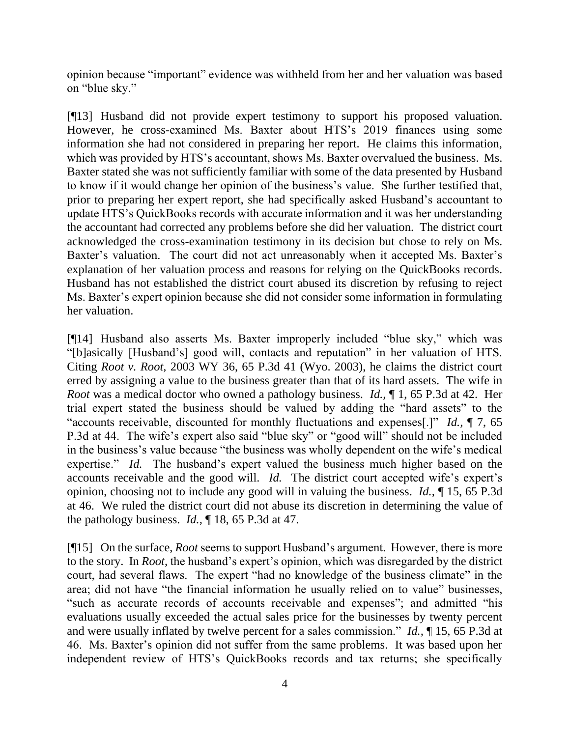opinion because "important" evidence was withheld from her and her valuation was based on "blue sky."

[¶13] Husband did not provide expert testimony to support his proposed valuation. However, he cross-examined Ms. Baxter about HTS's 2019 finances using some information she had not considered in preparing her report. He claims this information, which was provided by HTS's accountant, shows Ms. Baxter overvalued the business. Ms. Baxter stated she was not sufficiently familiar with some of the data presented by Husband to know if it would change her opinion of the business's value. She further testified that, prior to preparing her expert report, she had specifically asked Husband's accountant to update HTS's QuickBooks records with accurate information and it was her understanding the accountant had corrected any problems before she did her valuation. The district court acknowledged the cross-examination testimony in its decision but chose to rely on Ms. Baxter's valuation. The court did not act unreasonably when it accepted Ms. Baxter's explanation of her valuation process and reasons for relying on the QuickBooks records. Husband has not established the district court abused its discretion by refusing to reject Ms. Baxter's expert opinion because she did not consider some information in formulating her valuation.

[¶14] Husband also asserts Ms. Baxter improperly included "blue sky," which was "[b]asically [Husband's] good will, contacts and reputation" in her valuation of HTS. Citing *Root v. Root,* 2003 WY 36, 65 P.3d 41 (Wyo. 2003), he claims the district court erred by assigning a value to the business greater than that of its hard assets. The wife in *Root* was a medical doctor who owned a pathology business. *Id.,* ¶ 1, 65 P.3d at 42. Her trial expert stated the business should be valued by adding the "hard assets" to the "accounts receivable, discounted for monthly fluctuations and expenses[.]" *Id.,* ¶ 7, 65 P.3d at 44. The wife's expert also said "blue sky" or "good will" should not be included in the business's value because "the business was wholly dependent on the wife's medical expertise." *Id.* The husband's expert valued the business much higher based on the accounts receivable and the good will. *Id.* The district court accepted wife's expert's opinion, choosing not to include any good will in valuing the business. *Id.,* ¶ 15, 65 P.3d at 46. We ruled the district court did not abuse its discretion in determining the value of the pathology business. *Id.,* ¶ 18, 65 P.3d at 47.

[¶15] On the surface, *Root* seems to support Husband's argument. However, there is more to the story. In *Root,* the husband's expert's opinion, which was disregarded by the district court, had several flaws. The expert "had no knowledge of the business climate" in the area; did not have "the financial information he usually relied on to value" businesses, "such as accurate records of accounts receivable and expenses"; and admitted "his evaluations usually exceeded the actual sales price for the businesses by twenty percent and were usually inflated by twelve percent for a sales commission." *Id.,* ¶ 15, 65 P.3d at 46. Ms. Baxter's opinion did not suffer from the same problems. It was based upon her independent review of HTS's QuickBooks records and tax returns; she specifically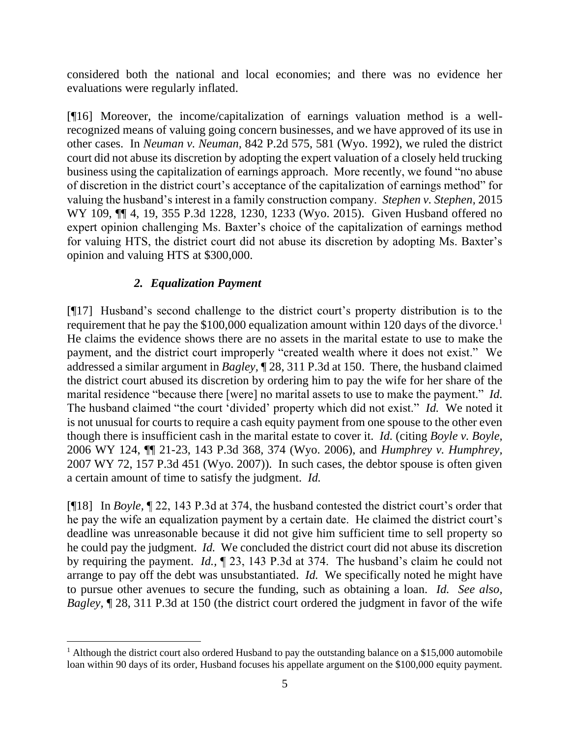considered both the national and local economies; and there was no evidence her evaluations were regularly inflated.

[¶16] Moreover, the income/capitalization of earnings valuation method is a wellrecognized means of valuing going concern businesses, and we have approved of its use in other cases. In *Neuman v. Neuman,* 842 P.2d 575, 581 (Wyo. 1992), we ruled the district court did not abuse its discretion by adopting the expert valuation of a closely held trucking business using the capitalization of earnings approach. More recently, we found "no abuse of discretion in the district court's acceptance of the capitalization of earnings method" for valuing the husband's interest in a family construction company. *Stephen v. Stephen,* 2015 WY 109,  $\P$  4, 19, 355 P.3d 1228, 1230, 1233 (Wyo. 2015). Given Husband offered no expert opinion challenging Ms. Baxter's choice of the capitalization of earnings method for valuing HTS, the district court did not abuse its discretion by adopting Ms. Baxter's opinion and valuing HTS at \$300,000.

# *2. Equalization Payment*

[¶17] Husband's second challenge to the district court's property distribution is to the requirement that he pay the \$100,000 equalization amount within 120 days of the divorce.<sup>1</sup> He claims the evidence shows there are no assets in the marital estate to use to make the payment, and the district court improperly "created wealth where it does not exist." We addressed a similar argument in *Bagley,* ¶ 28, 311 P.3d at 150. There, the husband claimed the district court abused its discretion by ordering him to pay the wife for her share of the marital residence "because there [were] no marital assets to use to make the payment." *Id.*  The husband claimed "the court 'divided' property which did not exist." *Id.* We noted it is not unusual for courts to require a cash equity payment from one spouse to the other even though there is insufficient cash in the marital estate to cover it. *Id.* (citing *Boyle v. Boyle,*  2006 WY 124, ¶¶ 21-23, 143 P.3d 368, 374 (Wyo. 2006), and *Humphrey v. Humphrey,*  2007 WY 72, 157 P.3d 451 (Wyo. 2007)). In such cases, the debtor spouse is often given a certain amount of time to satisfy the judgment. *Id.* 

[¶18] In *Boyle,* ¶ 22, 143 P.3d at 374, the husband contested the district court's order that he pay the wife an equalization payment by a certain date. He claimed the district court's deadline was unreasonable because it did not give him sufficient time to sell property so he could pay the judgment. *Id.* We concluded the district court did not abuse its discretion by requiring the payment. *Id.,* ¶ 23, 143 P.3d at 374. The husband's claim he could not arrange to pay off the debt was unsubstantiated. *Id.* We specifically noted he might have to pursue other avenues to secure the funding, such as obtaining a loan. *Id. See also, Bagley,* ¶ 28, 311 P.3d at 150 (the district court ordered the judgment in favor of the wife

<sup>&</sup>lt;sup>1</sup> Although the district court also ordered Husband to pay the outstanding balance on a \$15,000 automobile loan within 90 days of its order, Husband focuses his appellate argument on the \$100,000 equity payment.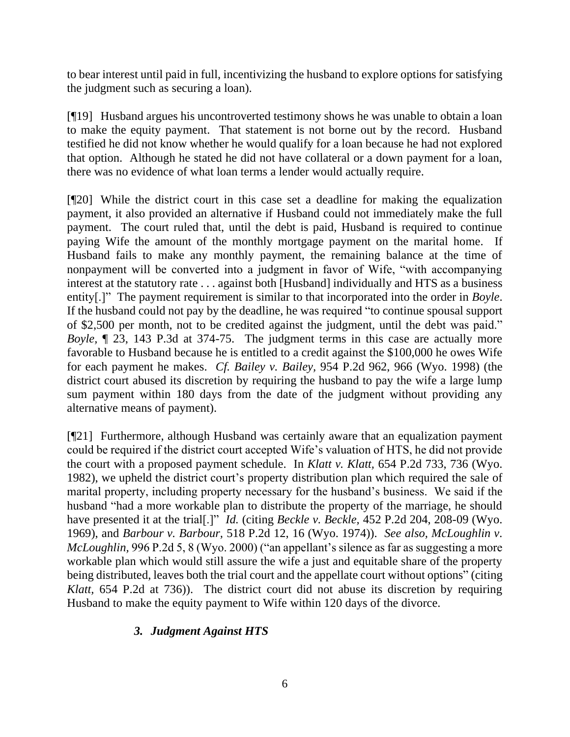to bear interest until paid in full, incentivizing the husband to explore options for satisfying the judgment such as securing a loan).

[¶19] Husband argues his uncontroverted testimony shows he was unable to obtain a loan to make the equity payment. That statement is not borne out by the record. Husband testified he did not know whether he would qualify for a loan because he had not explored that option. Although he stated he did not have collateral or a down payment for a loan, there was no evidence of what loan terms a lender would actually require.

[¶20] While the district court in this case set a deadline for making the equalization payment, it also provided an alternative if Husband could not immediately make the full payment. The court ruled that, until the debt is paid, Husband is required to continue paying Wife the amount of the monthly mortgage payment on the marital home. If Husband fails to make any monthly payment, the remaining balance at the time of nonpayment will be converted into a judgment in favor of Wife, "with accompanying interest at the statutory rate . . . against both [Husband] individually and HTS as a business entity[.]" The payment requirement is similar to that incorporated into the order in *Boyle*. If the husband could not pay by the deadline, he was required "to continue spousal support of \$2,500 per month, not to be credited against the judgment, until the debt was paid." *Boyle,* ¶ 23, 143 P.3d at 374-75. The judgment terms in this case are actually more favorable to Husband because he is entitled to a credit against the \$100,000 he owes Wife for each payment he makes. *Cf. Bailey v. Bailey,* 954 P.2d 962, 966 (Wyo. 1998) (the district court abused its discretion by requiring the husband to pay the wife a large lump sum payment within 180 days from the date of the judgment without providing any alternative means of payment).

[¶21] Furthermore, although Husband was certainly aware that an equalization payment could be required if the district court accepted Wife's valuation of HTS, he did not provide the court with a proposed payment schedule. In *Klatt v. Klatt,* 654 P.2d 733, 736 (Wyo. 1982), we upheld the district court's property distribution plan which required the sale of marital property, including property necessary for the husband's business. We said if the husband "had a more workable plan to distribute the property of the marriage, he should have presented it at the trial[.]" *Id.* (citing *Beckle v. Beckle,* 452 P.2d 204, 208-09 (Wyo. 1969), and *Barbour v. Barbour,* 518 P.2d 12, 16 (Wyo. 1974)). *See also, McLoughlin v. McLoughlin,* 996 P.2d 5, 8 (Wyo. 2000) ("an appellant's silence as far as suggesting a more workable plan which would still assure the wife a just and equitable share of the property being distributed, leaves both the trial court and the appellate court without options" (citing *Klatt,* 654 P.2d at 736)). The district court did not abuse its discretion by requiring Husband to make the equity payment to Wife within 120 days of the divorce.

# *3. Judgment Against HTS*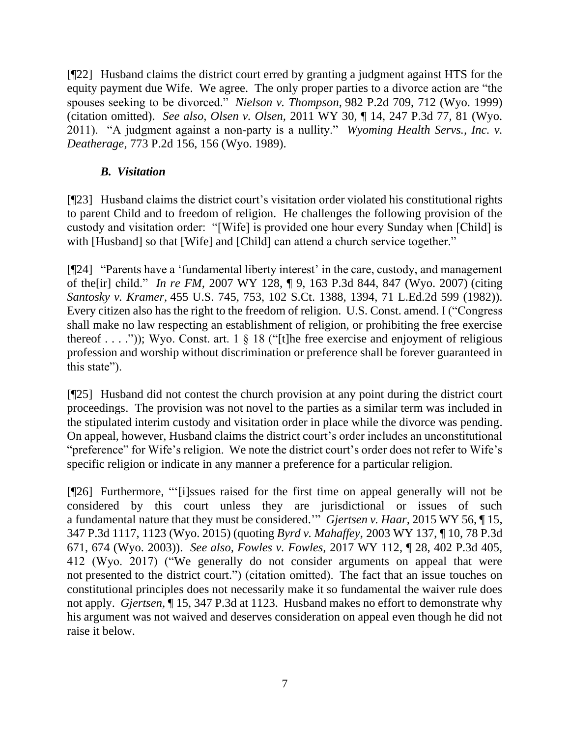[¶22] Husband claims the district court erred by granting a judgment against HTS for the equity payment due Wife. We agree. The only proper parties to a divorce action are "the spouses seeking to be divorced." *Nielson v. Thompson,* 982 P.2d 709, 712 (Wyo. 1999) (citation omitted). *See also, Olsen v. Olsen,* 2011 WY 30, ¶ 14, 247 P.3d 77, 81 (Wyo. 2011). "A judgment against a non-party is a nullity." *Wyoming Health Servs., Inc. v. Deatherage,* 773 P.2d 156, 156 (Wyo. 1989).

## *B. Visitation*

[¶23] Husband claims the district court's visitation order violated his constitutional rights to parent Child and to freedom of religion. He challenges the following provision of the custody and visitation order: "[Wife] is provided one hour every Sunday when [Child] is with [Husband] so that [Wife] and [Child] can attend a church service together."

[¶24] "Parents have a 'fundamental liberty interest' in the care, custody, and management of the[ir] child." *In re FM,* 2007 WY 128, ¶ 9, 163 P.3d 844, 847 (Wyo. 2007) (citing *Santosky v. Kramer,* 455 U.S. 745, 753, 102 S.Ct. 1388, 1394, 71 L.Ed.2d 599 (1982)). Every citizen also has the right to the freedom of religion. U.S. Const. amend. I ("Congress shall make no law respecting an establishment of religion, or prohibiting the free exercise thereof . . . .")); Wyo. Const. art. 1  $\S$  18 ("[t]he free exercise and enjoyment of religious profession and worship without discrimination or preference shall be forever guaranteed in this state").

[¶25] Husband did not contest the church provision at any point during the district court proceedings. The provision was not novel to the parties as a similar term was included in the stipulated interim custody and visitation order in place while the divorce was pending. On appeal, however, Husband claims the district court's order includes an unconstitutional "preference" for Wife's religion. We note the district court's order does not refer to Wife's specific religion or indicate in any manner a preference for a particular religion.

[¶26] Furthermore, "'[i]ssues raised for the first time on appeal generally will not be considered by this court unless they are jurisdictional or issues of such a fundamental nature that they must be considered.'" *Gjertsen v. Haar,* 2015 WY 56, ¶ 15, 347 P.3d 1117, 1123 (Wyo. 2015) (quoting *Byrd v. Mahaffey,* 2003 WY 137, ¶ 10, 78 P.3d 671, 674 (Wyo. 2003)). *See also, Fowles v. Fowles,* 2017 WY 112, ¶ 28, 402 P.3d 405, 412 (Wyo. 2017) ("We generally do not consider arguments on appeal that were not presented to the district court.") (citation omitted). The fact that an issue touches on constitutional principles does not necessarily make it so fundamental the waiver rule does not apply. *Gjertsen,* ¶ 15, 347 P.3d at 1123. Husband makes no effort to demonstrate why his argument was not waived and deserves consideration on appeal even though he did not raise it below.